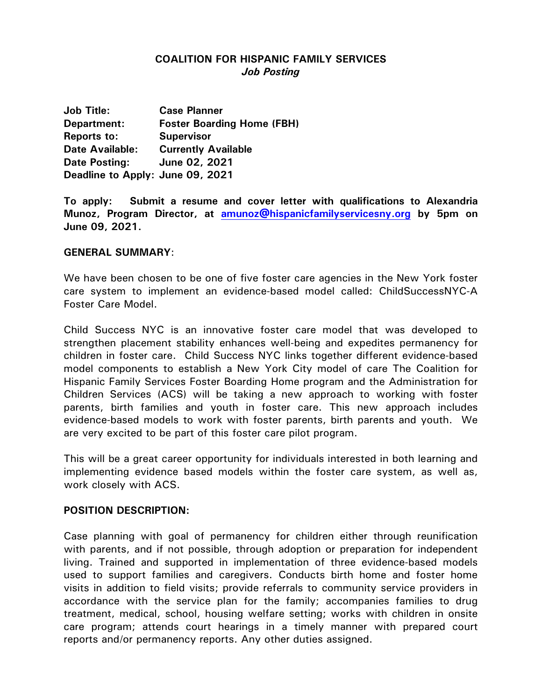# **COALITION FOR HISPANIC FAMILY SERVICES** *Job Posting*

**Job Title: Case Planner Department: Foster Boarding Home (FBH) Reports to: Supervisor Date Available: Currently Available Date Posting: June 02, 2021 Deadline to Apply: June 09, 2021**

**To apply: Submit a resume and cover letter with qualifications to Alexandria Munoz, Program Director, at [amunoz@hispanicfamilyservicesny.org](mailto:amunoz@hispanicfamilyservicesny.org) by 5pm on June 09, 2021.**

#### **GENERAL SUMMARY**:

We have been chosen to be one of five foster care agencies in the New York foster care system to implement an evidence-based model called: ChildSuccessNYC-A Foster Care Model.

Child Success NYC is an innovative foster care model that was developed to strengthen placement stability enhances well-being and expedites permanency for children in foster care. Child Success NYC links together different evidence-based model components to establish a New York City model of care The Coalition for Hispanic Family Services Foster Boarding Home program and the Administration for Children Services (ACS) will be taking a new approach to working with foster parents, birth families and youth in foster care. This new approach includes evidence-based models to work with foster parents, birth parents and youth. We are very excited to be part of this foster care pilot program.

This will be a great career opportunity for individuals interested in both learning and implementing evidence based models within the foster care system, as well as, work closely with ACS.

#### **POSITION DESCRIPTION:**

Case planning with goal of permanency for children either through reunification with parents, and if not possible, through adoption or preparation for independent living. Trained and supported in implementation of three evidence-based models used to support families and caregivers. Conducts birth home and foster home visits in addition to field visits; provide referrals to community service providers in accordance with the service plan for the family; accompanies families to drug treatment, medical, school, housing welfare setting; works with children in onsite care program; attends court hearings in a timely manner with prepared court reports and/or permanency reports. Any other duties assigned.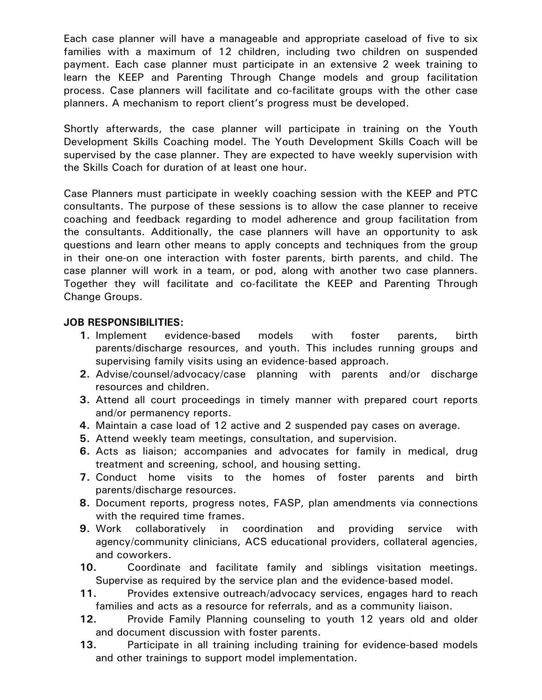Each case planner will have a manageable and appropriate caseload of five to six families with a maximum of 12 children, including two children on suspended payment. Each case planner must participate in an extensive 2 week training to learn the KEEP and Parenting Through Change models and group facilitation process. Case planners will facilitate and co-facilitate groups with the other case planners. A mechanism to report client's progress must be developed.

Shortly afterwards, the case planner will participate in training on the Youth Development Skills Coaching model. The Youth Development Skills Coach will be supervised by the case planner. They are expected to have weekly supervision with the Skills Coach for duration of at least one hour.

Case Planners must participate in weekly coaching session with the KEEP and PTC consultants. The purpose of these sessions is to allow the case planner to receive coaching and feedback regarding to model adherence and group facilitation from the consultants. Additionally, the case planners will have an opportunity to ask questions and learn other means to apply concepts and techniques from the group in their one-on one interaction with foster parents, birth parents, and child. The case planner will work in a team, or pod, along with another two case planners. Together they will facilitate and co-facilitate the KEEP and Parenting Through Change Groups.

#### **JOB RESPONSIBILITIES:**

- **1.** Implement evidence-based models with foster parents, birth parents/discharge resources, and youth. This includes running groups and supervising family visits using an evidence-based approach.
- **2.** Advise/counsel/advocacy/case planning with parents and/or discharge resources and children.
- **3.** Attend all court proceedings in timely manner with prepared court reports and/or permanency reports.
- **4.** Maintain a case load of 12 active and 2 suspended pay cases on average.
- **5.** Attend weekly team meetings, consultation, and supervision.
- **6.** Acts as liaison; accompanies and advocates for family in medical, drug treatment and screening, school, and housing setting.
- **7.** Conduct home visits to the homes of foster parents and birth parents/discharge resources.
- **8.** Document reports, progress notes, FASP, plan amendments via connections with the required time frames.
- **9.** Work collaboratively in coordination and providing service with agency/community clinicians, ACS educational providers, collateral agencies, and coworkers.
- **10.** Coordinate and facilitate family and siblings visitation meetings. Supervise as required by the service plan and the evidence-based model.
- **11.** Provides extensive outreach/advocacy services, engages hard to reach families and acts as a resource for referrals, and as a community liaison.
- **12.** Provide Family Planning counseling to youth 12 years old and older and document discussion with foster parents.
- **13.** Participate in all training including training for evidence-based models and other trainings to support model implementation.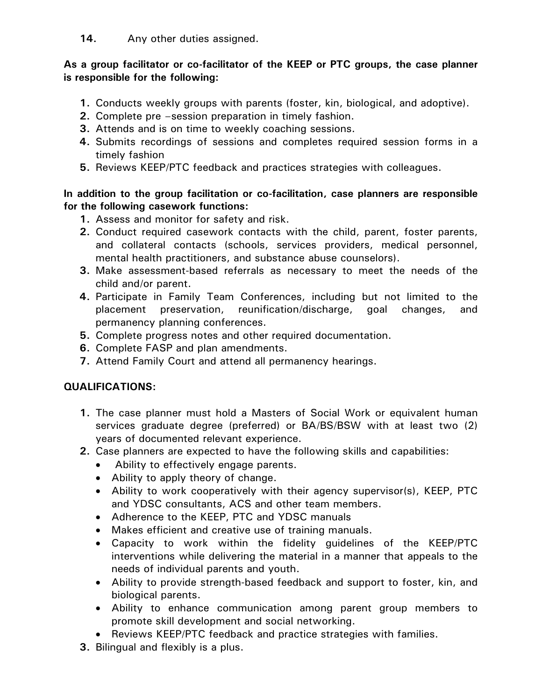**14.** Any other duties assigned.

### **As a group facilitator or co-facilitator of the KEEP or PTC groups, the case planner is responsible for the following:**

- **1.** Conducts weekly groups with parents (foster, kin, biological, and adoptive).
- **2.** Complete pre –session preparation in timely fashion.
- **3.** Attends and is on time to weekly coaching sessions.
- **4.** Submits recordings of sessions and completes required session forms in a timely fashion
- **5.** Reviews KEEP/PTC feedback and practices strategies with colleagues.

## **In addition to the group facilitation or co-facilitation, case planners are responsible for the following casework functions:**

- **1.** Assess and monitor for safety and risk.
- **2.** Conduct required casework contacts with the child, parent, foster parents, and collateral contacts (schools, services providers, medical personnel, mental health practitioners, and substance abuse counselors).
- **3.** Make assessment-based referrals as necessary to meet the needs of the child and/or parent.
- **4.** Participate in Family Team Conferences, including but not limited to the placement preservation, reunification/discharge, goal changes, and permanency planning conferences.
- **5.** Complete progress notes and other required documentation.
- **6.** Complete FASP and plan amendments.
- **7.** Attend Family Court and attend all permanency hearings.

# **QUALIFICATIONS:**

- **1.** The case planner must hold a Masters of Social Work or equivalent human services graduate degree (preferred) or BA/BS/BSW with at least two (2) years of documented relevant experience.
- **2.** Case planners are expected to have the following skills and capabilities:
	- Ability to effectively engage parents.
	- Ability to apply theory of change.
	- Ability to work cooperatively with their agency supervisor(s), KEEP, PTC and YDSC consultants, ACS and other team members.
	- Adherence to the KEEP, PTC and YDSC manuals
	- Makes efficient and creative use of training manuals.
	- Capacity to work within the fidelity guidelines of the KEEP/PTC interventions while delivering the material in a manner that appeals to the needs of individual parents and youth.
	- Ability to provide strength-based feedback and support to foster, kin, and biological parents.
	- Ability to enhance communication among parent group members to promote skill development and social networking.
	- Reviews KEEP/PTC feedback and practice strategies with families.
- **3.** Bilingual and flexibly is a plus.